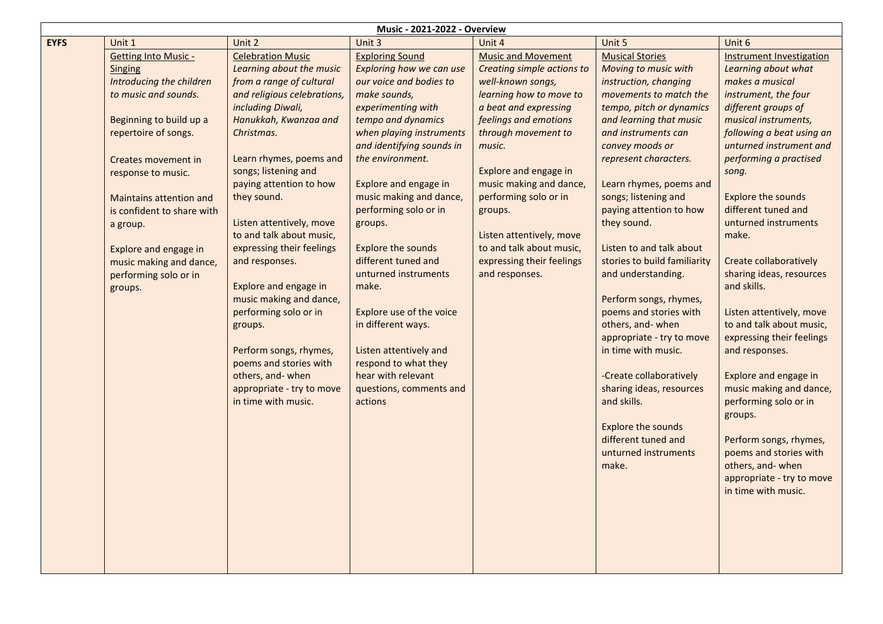|             | <b>Music - 2021-2022 - Overview</b>                                                                                                                                                                                                                                                                                                                                   |                                                                                                                                                                                                                                                                                                                                                                                                                                                                                                                                                                                                     |                                                                                                                                                                                                                                                                                                                                                                                                                                                                                                                                                                     |                                                                                                                                                                                                                                                                                                                                                                                           |                                                                                                                                                                                                                                                                                                                                                                                                                                                                                                                                                                                                                                                                                                   |                                                                                                                                                                                                                                                                                                                                                                                                                                                                                                                                                                                                                                                                                                                           |
|-------------|-----------------------------------------------------------------------------------------------------------------------------------------------------------------------------------------------------------------------------------------------------------------------------------------------------------------------------------------------------------------------|-----------------------------------------------------------------------------------------------------------------------------------------------------------------------------------------------------------------------------------------------------------------------------------------------------------------------------------------------------------------------------------------------------------------------------------------------------------------------------------------------------------------------------------------------------------------------------------------------------|---------------------------------------------------------------------------------------------------------------------------------------------------------------------------------------------------------------------------------------------------------------------------------------------------------------------------------------------------------------------------------------------------------------------------------------------------------------------------------------------------------------------------------------------------------------------|-------------------------------------------------------------------------------------------------------------------------------------------------------------------------------------------------------------------------------------------------------------------------------------------------------------------------------------------------------------------------------------------|---------------------------------------------------------------------------------------------------------------------------------------------------------------------------------------------------------------------------------------------------------------------------------------------------------------------------------------------------------------------------------------------------------------------------------------------------------------------------------------------------------------------------------------------------------------------------------------------------------------------------------------------------------------------------------------------------|---------------------------------------------------------------------------------------------------------------------------------------------------------------------------------------------------------------------------------------------------------------------------------------------------------------------------------------------------------------------------------------------------------------------------------------------------------------------------------------------------------------------------------------------------------------------------------------------------------------------------------------------------------------------------------------------------------------------------|
| <b>EYFS</b> | Unit 1                                                                                                                                                                                                                                                                                                                                                                | Unit 2                                                                                                                                                                                                                                                                                                                                                                                                                                                                                                                                                                                              | Unit 3                                                                                                                                                                                                                                                                                                                                                                                                                                                                                                                                                              | Unit 4                                                                                                                                                                                                                                                                                                                                                                                    | Unit 5                                                                                                                                                                                                                                                                                                                                                                                                                                                                                                                                                                                                                                                                                            | Unit 6                                                                                                                                                                                                                                                                                                                                                                                                                                                                                                                                                                                                                                                                                                                    |
|             | <b>Getting Into Music -</b><br><b>Singing</b><br>Introducing the children<br>to music and sounds.<br>Beginning to build up a<br>repertoire of songs.<br>Creates movement in<br>response to music.<br><b>Maintains attention and</b><br>is confident to share with<br>a group.<br>Explore and engage in<br>music making and dance,<br>performing solo or in<br>groups. | <b>Celebration Music</b><br>Learning about the music<br>from a range of cultural<br>and religious celebrations,<br>including Diwali,<br>Hanukkah, Kwanzaa and<br>Christmas.<br>Learn rhymes, poems and<br>songs; listening and<br>paying attention to how<br>they sound.<br>Listen attentively, move<br>to and talk about music,<br>expressing their feelings<br>and responses.<br>Explore and engage in<br>music making and dance,<br>performing solo or in<br>groups.<br>Perform songs, rhymes,<br>poems and stories with<br>others, and-when<br>appropriate - try to move<br>in time with music. | <b>Exploring Sound</b><br>Exploring how we can use<br>our voice and bodies to<br>make sounds,<br>experimenting with<br>tempo and dynamics<br>when playing instruments<br>and identifying sounds in<br>the environment.<br>Explore and engage in<br>music making and dance,<br>performing solo or in<br>groups.<br><b>Explore the sounds</b><br>different tuned and<br>unturned instruments<br>make.<br>Explore use of the voice<br>in different ways.<br>Listen attentively and<br>respond to what they<br>hear with relevant<br>questions, comments and<br>actions | <b>Music and Movement</b><br>Creating simple actions to<br>well-known songs,<br>learning how to move to<br>a beat and expressing<br>feelings and emotions<br>through movement to<br>music.<br>Explore and engage in<br>music making and dance,<br>performing solo or in<br>groups.<br>Listen attentively, move<br>to and talk about music,<br>expressing their feelings<br>and responses. | <b>Musical Stories</b><br>Moving to music with<br>instruction, changing<br>movements to match the<br>tempo, pitch or dynamics<br>and learning that music<br>and instruments can<br>convey moods or<br>represent characters.<br>Learn rhymes, poems and<br>songs; listening and<br>paying attention to how<br>they sound.<br>Listen to and talk about<br>stories to build familiarity<br>and understanding.<br>Perform songs, rhymes,<br>poems and stories with<br>others, and-when<br>appropriate - try to move<br>in time with music.<br>-Create collaboratively<br>sharing ideas, resources<br>and skills.<br><b>Explore the sounds</b><br>different tuned and<br>unturned instruments<br>make. | <b>Instrument Investigation</b><br>Learning about what<br>makes a musical<br>instrument, the four<br>different groups of<br>musical instruments,<br>following a beat using an<br>unturned instrument and<br>performing a practised<br>song.<br>Explore the sounds<br>different tuned and<br>unturned instruments<br>make.<br>Create collaboratively<br>sharing ideas, resources<br>and skills.<br>Listen attentively, move<br>to and talk about music,<br>expressing their feelings<br>and responses.<br>Explore and engage in<br>music making and dance,<br>performing solo or in<br>groups.<br>Perform songs, rhymes,<br>poems and stories with<br>others, and-when<br>appropriate - try to move<br>in time with music. |
|             |                                                                                                                                                                                                                                                                                                                                                                       |                                                                                                                                                                                                                                                                                                                                                                                                                                                                                                                                                                                                     |                                                                                                                                                                                                                                                                                                                                                                                                                                                                                                                                                                     |                                                                                                                                                                                                                                                                                                                                                                                           |                                                                                                                                                                                                                                                                                                                                                                                                                                                                                                                                                                                                                                                                                                   |                                                                                                                                                                                                                                                                                                                                                                                                                                                                                                                                                                                                                                                                                                                           |
|             |                                                                                                                                                                                                                                                                                                                                                                       |                                                                                                                                                                                                                                                                                                                                                                                                                                                                                                                                                                                                     |                                                                                                                                                                                                                                                                                                                                                                                                                                                                                                                                                                     |                                                                                                                                                                                                                                                                                                                                                                                           |                                                                                                                                                                                                                                                                                                                                                                                                                                                                                                                                                                                                                                                                                                   |                                                                                                                                                                                                                                                                                                                                                                                                                                                                                                                                                                                                                                                                                                                           |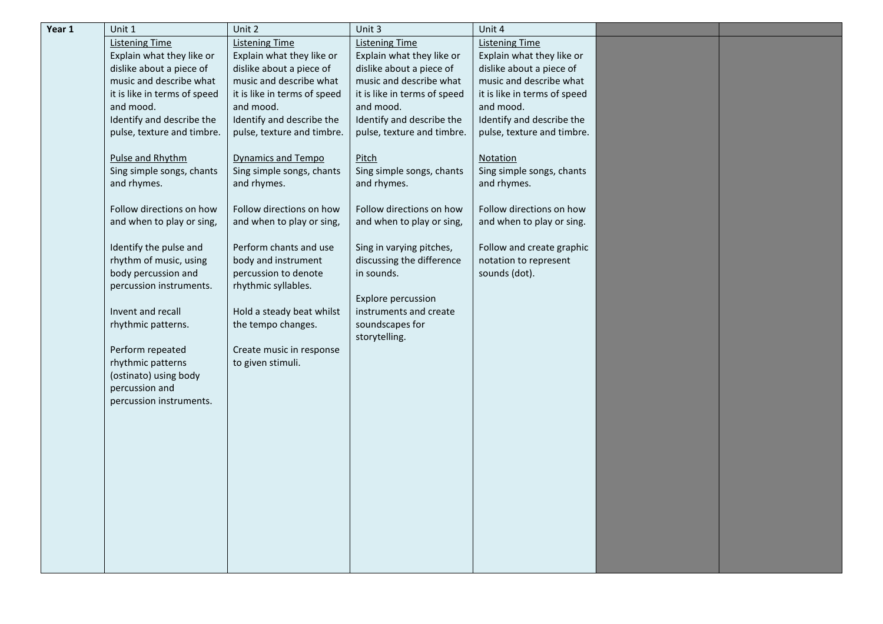| Year 1 | Unit 1                       | Unit 2                       | Unit 3                       | Unit 4                       |  |
|--------|------------------------------|------------------------------|------------------------------|------------------------------|--|
|        | <b>Listening Time</b>        | <b>Listening Time</b>        | <b>Listening Time</b>        | <b>Listening Time</b>        |  |
|        | Explain what they like or    | Explain what they like or    | Explain what they like or    | Explain what they like or    |  |
|        | dislike about a piece of     | dislike about a piece of     | dislike about a piece of     | dislike about a piece of     |  |
|        | music and describe what      | music and describe what      | music and describe what      | music and describe what      |  |
|        | it is like in terms of speed | it is like in terms of speed | it is like in terms of speed | it is like in terms of speed |  |
|        | and mood.                    | and mood.                    | and mood.                    | and mood.                    |  |
|        | Identify and describe the    | Identify and describe the    | Identify and describe the    | Identify and describe the    |  |
|        | pulse, texture and timbre.   | pulse, texture and timbre.   | pulse, texture and timbre.   | pulse, texture and timbre.   |  |
|        |                              |                              |                              |                              |  |
|        | Pulse and Rhythm             | <b>Dynamics and Tempo</b>    | Pitch                        | Notation                     |  |
|        | Sing simple songs, chants    | Sing simple songs, chants    | Sing simple songs, chants    | Sing simple songs, chants    |  |
|        | and rhymes.                  | and rhymes.                  | and rhymes.                  | and rhymes.                  |  |
|        |                              |                              |                              |                              |  |
|        | Follow directions on how     | Follow directions on how     | Follow directions on how     | Follow directions on how     |  |
|        | and when to play or sing,    | and when to play or sing,    | and when to play or sing,    | and when to play or sing.    |  |
|        | Identify the pulse and       | Perform chants and use       | Sing in varying pitches,     | Follow and create graphic    |  |
|        | rhythm of music, using       | body and instrument          | discussing the difference    | notation to represent        |  |
|        | body percussion and          | percussion to denote         | in sounds.                   | sounds (dot).                |  |
|        | percussion instruments.      | rhythmic syllables.          |                              |                              |  |
|        |                              |                              | Explore percussion           |                              |  |
|        | Invent and recall            | Hold a steady beat whilst    | instruments and create       |                              |  |
|        | rhythmic patterns.           | the tempo changes.           | soundscapes for              |                              |  |
|        |                              |                              | storytelling.                |                              |  |
|        | Perform repeated             | Create music in response     |                              |                              |  |
|        | rhythmic patterns            | to given stimuli.            |                              |                              |  |
|        | (ostinato) using body        |                              |                              |                              |  |
|        | percussion and               |                              |                              |                              |  |
|        | percussion instruments.      |                              |                              |                              |  |
|        |                              |                              |                              |                              |  |
|        |                              |                              |                              |                              |  |
|        |                              |                              |                              |                              |  |
|        |                              |                              |                              |                              |  |
|        |                              |                              |                              |                              |  |
|        |                              |                              |                              |                              |  |
|        |                              |                              |                              |                              |  |
|        |                              |                              |                              |                              |  |
|        |                              |                              |                              |                              |  |
|        |                              |                              |                              |                              |  |
|        |                              |                              |                              |                              |  |
|        |                              |                              |                              |                              |  |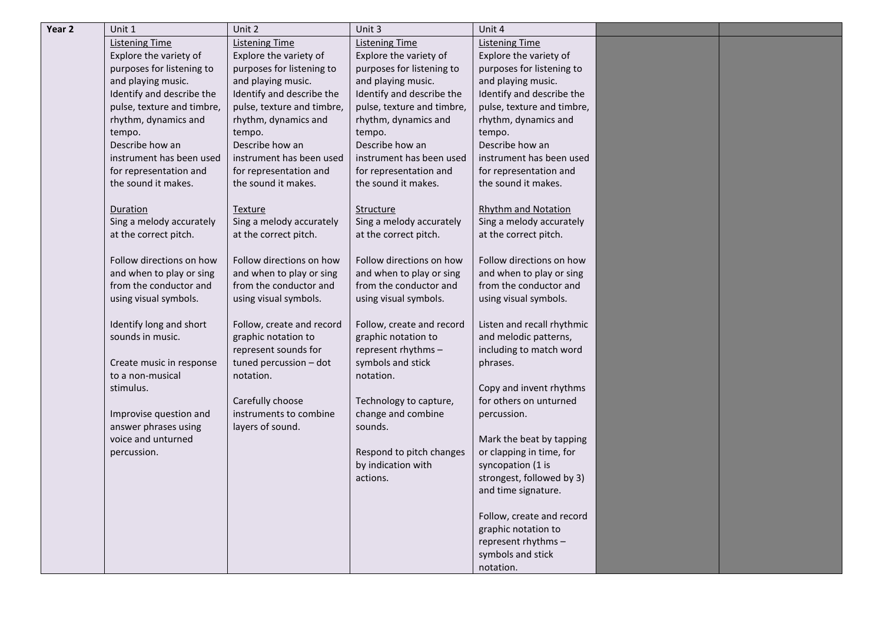| Year <sub>2</sub> | Unit 1                     | Unit 2                     | Unit 3                     | Unit 4                     |  |
|-------------------|----------------------------|----------------------------|----------------------------|----------------------------|--|
|                   | Listening Time             | <b>Listening Time</b>      | <b>Listening Time</b>      | <b>Listening Time</b>      |  |
|                   | Explore the variety of     | Explore the variety of     | Explore the variety of     | Explore the variety of     |  |
|                   | purposes for listening to  | purposes for listening to  | purposes for listening to  | purposes for listening to  |  |
|                   | and playing music.         | and playing music.         | and playing music.         | and playing music.         |  |
|                   | Identify and describe the  | Identify and describe the  | Identify and describe the  | Identify and describe the  |  |
|                   | pulse, texture and timbre, | pulse, texture and timbre, | pulse, texture and timbre, | pulse, texture and timbre, |  |
|                   | rhythm, dynamics and       | rhythm, dynamics and       | rhythm, dynamics and       | rhythm, dynamics and       |  |
|                   | tempo.                     | tempo.                     | tempo.                     | tempo.                     |  |
|                   | Describe how an            | Describe how an            | Describe how an            | Describe how an            |  |
|                   | instrument has been used   | instrument has been used   | instrument has been used   | instrument has been used   |  |
|                   | for representation and     | for representation and     | for representation and     | for representation and     |  |
|                   | the sound it makes.        | the sound it makes.        | the sound it makes.        | the sound it makes.        |  |
|                   |                            |                            |                            |                            |  |
|                   | Duration                   | Texture                    | Structure                  | <b>Rhythm and Notation</b> |  |
|                   | Sing a melody accurately   | Sing a melody accurately   | Sing a melody accurately   | Sing a melody accurately   |  |
|                   | at the correct pitch.      | at the correct pitch.      | at the correct pitch.      | at the correct pitch.      |  |
|                   |                            |                            |                            |                            |  |
|                   | Follow directions on how   | Follow directions on how   | Follow directions on how   | Follow directions on how   |  |
|                   | and when to play or sing   | and when to play or sing   | and when to play or sing   | and when to play or sing   |  |
|                   | from the conductor and     | from the conductor and     | from the conductor and     | from the conductor and     |  |
|                   | using visual symbols.      | using visual symbols.      | using visual symbols.      | using visual symbols.      |  |
|                   |                            |                            |                            |                            |  |
|                   | Identify long and short    | Follow, create and record  | Follow, create and record  | Listen and recall rhythmic |  |
|                   | sounds in music.           | graphic notation to        | graphic notation to        | and melodic patterns,      |  |
|                   |                            | represent sounds for       | represent rhythms -        | including to match word    |  |
|                   | Create music in response   | tuned percussion - dot     | symbols and stick          | phrases.                   |  |
|                   | to a non-musical           | notation.                  | notation.                  |                            |  |
|                   | stimulus.                  |                            |                            | Copy and invent rhythms    |  |
|                   |                            | Carefully choose           | Technology to capture,     | for others on unturned     |  |
|                   | Improvise question and     | instruments to combine     | change and combine         | percussion.                |  |
|                   | answer phrases using       | layers of sound.           | sounds.                    |                            |  |
|                   | voice and unturned         |                            |                            | Mark the beat by tapping   |  |
|                   | percussion.                |                            | Respond to pitch changes   | or clapping in time, for   |  |
|                   |                            |                            | by indication with         | syncopation (1 is          |  |
|                   |                            |                            | actions.                   | strongest, followed by 3)  |  |
|                   |                            |                            |                            | and time signature.        |  |
|                   |                            |                            |                            |                            |  |
|                   |                            |                            |                            | Follow, create and record  |  |
|                   |                            |                            |                            | graphic notation to        |  |
|                   |                            |                            |                            | represent rhythms -        |  |
|                   |                            |                            |                            | symbols and stick          |  |
|                   |                            |                            |                            | notation.                  |  |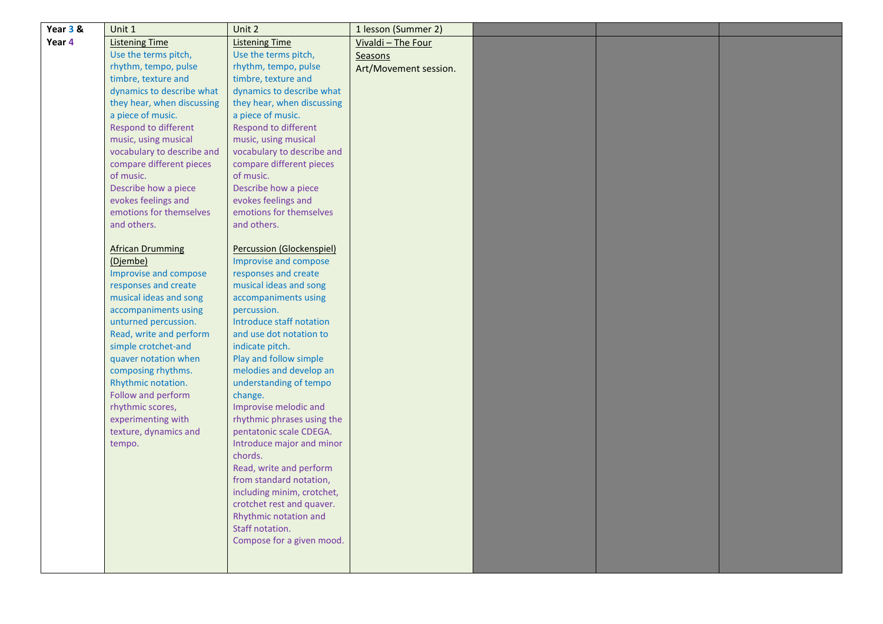| Year 3 & | Unit 1                                         | Unit 2                                         | 1 lesson (Summer 2)   |  |  |
|----------|------------------------------------------------|------------------------------------------------|-----------------------|--|--|
| Year 4   | <b>Listening Time</b>                          | <b>Listening Time</b>                          | Vivaldi - The Four    |  |  |
|          | Use the terms pitch,                           | Use the terms pitch,                           | Seasons               |  |  |
|          | rhythm, tempo, pulse                           | rhythm, tempo, pulse                           | Art/Movement session. |  |  |
|          | timbre, texture and                            | timbre, texture and                            |                       |  |  |
|          | dynamics to describe what                      | dynamics to describe what                      |                       |  |  |
|          | they hear, when discussing                     | they hear, when discussing                     |                       |  |  |
|          | a piece of music.                              | a piece of music.                              |                       |  |  |
|          | Respond to different                           | Respond to different                           |                       |  |  |
|          | music, using musical                           | music, using musical                           |                       |  |  |
|          | vocabulary to describe and                     | vocabulary to describe and                     |                       |  |  |
|          | compare different pieces                       | compare different pieces                       |                       |  |  |
|          | of music.                                      | of music.                                      |                       |  |  |
|          | Describe how a piece                           | Describe how a piece                           |                       |  |  |
|          | evokes feelings and<br>emotions for themselves | evokes feelings and<br>emotions for themselves |                       |  |  |
|          | and others.                                    | and others.                                    |                       |  |  |
|          |                                                |                                                |                       |  |  |
|          | <b>African Drumming</b>                        | Percussion (Glockenspiel)                      |                       |  |  |
|          | (Djembe)                                       | Improvise and compose                          |                       |  |  |
|          | Improvise and compose                          | responses and create                           |                       |  |  |
|          | responses and create                           | musical ideas and song                         |                       |  |  |
|          | musical ideas and song                         | accompaniments using                           |                       |  |  |
|          | accompaniments using                           | percussion.                                    |                       |  |  |
|          | unturned percussion.                           | Introduce staff notation                       |                       |  |  |
|          | Read, write and perform                        | and use dot notation to                        |                       |  |  |
|          | simple crotchet-and                            | indicate pitch.                                |                       |  |  |
|          | quaver notation when                           | Play and follow simple                         |                       |  |  |
|          | composing rhythms.                             | melodies and develop an                        |                       |  |  |
|          | Rhythmic notation.                             | understanding of tempo                         |                       |  |  |
|          | Follow and perform                             | change.                                        |                       |  |  |
|          | rhythmic scores,                               | Improvise melodic and                          |                       |  |  |
|          | experimenting with                             | rhythmic phrases using the                     |                       |  |  |
|          | texture, dynamics and                          | pentatonic scale CDEGA.                        |                       |  |  |
|          | tempo.                                         | Introduce major and minor                      |                       |  |  |
|          |                                                | chords.<br>Read, write and perform             |                       |  |  |
|          |                                                | from standard notation,                        |                       |  |  |
|          |                                                | including minim, crotchet,                     |                       |  |  |
|          |                                                | crotchet rest and quaver.                      |                       |  |  |
|          |                                                | Rhythmic notation and                          |                       |  |  |
|          |                                                | Staff notation.                                |                       |  |  |
|          |                                                | Compose for a given mood.                      |                       |  |  |
|          |                                                |                                                |                       |  |  |
|          |                                                |                                                |                       |  |  |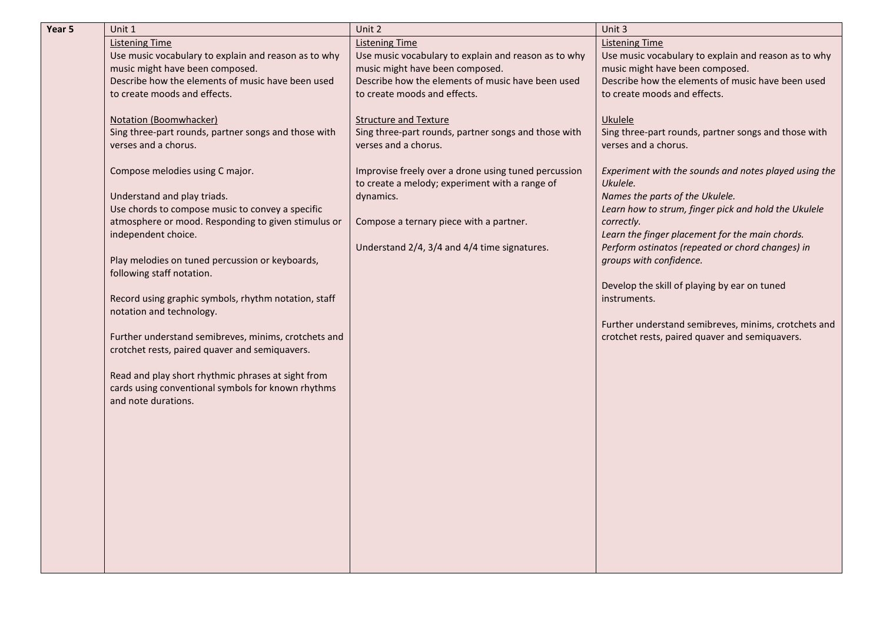| Year 5 | Unit 1                                                                         | Unit 2                                               | Unit 3                                                                                              |
|--------|--------------------------------------------------------------------------------|------------------------------------------------------|-----------------------------------------------------------------------------------------------------|
|        | <b>Listening Time</b>                                                          | <b>Listening Time</b>                                | <b>Listening Time</b>                                                                               |
|        | Use music vocabulary to explain and reason as to why                           | Use music vocabulary to explain and reason as to why | Use music vocabulary to explain and reason as to why                                                |
|        | music might have been composed.                                                | music might have been composed.                      | music might have been composed.                                                                     |
|        | Describe how the elements of music have been used                              | Describe how the elements of music have been used    | Describe how the elements of music have been used                                                   |
|        | to create moods and effects.                                                   | to create moods and effects.                         | to create moods and effects.                                                                        |
|        |                                                                                |                                                      |                                                                                                     |
|        | Notation (Boomwhacker)<br>Sing three-part rounds, partner songs and those with | <b>Structure and Texture</b>                         | Ukulele                                                                                             |
|        |                                                                                | Sing three-part rounds, partner songs and those with | Sing three-part rounds, partner songs and those with                                                |
|        | verses and a chorus.                                                           | verses and a chorus.                                 | verses and a chorus.                                                                                |
|        | Compose melodies using C major.                                                | Improvise freely over a drone using tuned percussion | Experiment with the sounds and notes played using the                                               |
|        |                                                                                | to create a melody; experiment with a range of       | Ukulele.                                                                                            |
|        | Understand and play triads.                                                    | dynamics.                                            | Names the parts of the Ukulele.                                                                     |
|        | Use chords to compose music to convey a specific                               |                                                      | Learn how to strum, finger pick and hold the Ukulele                                                |
|        | atmosphere or mood. Responding to given stimulus or                            | Compose a ternary piece with a partner.              | correctly.                                                                                          |
|        | independent choice.                                                            |                                                      | Learn the finger placement for the main chords.<br>Perform ostinatos (repeated or chord changes) in |
|        | Play melodies on tuned percussion or keyboards,                                | Understand 2/4, 3/4 and 4/4 time signatures.         | groups with confidence.                                                                             |
|        | following staff notation.                                                      |                                                      |                                                                                                     |
|        |                                                                                |                                                      | Develop the skill of playing by ear on tuned                                                        |
|        | Record using graphic symbols, rhythm notation, staff                           |                                                      | instruments.                                                                                        |
|        | notation and technology.                                                       |                                                      |                                                                                                     |
|        |                                                                                |                                                      | Further understand semibreves, minims, crotchets and                                                |
|        | Further understand semibreves, minims, crotchets and                           |                                                      | crotchet rests, paired quaver and semiquavers.                                                      |
|        | crotchet rests, paired quaver and semiquavers.                                 |                                                      |                                                                                                     |
|        |                                                                                |                                                      |                                                                                                     |
|        | Read and play short rhythmic phrases at sight from                             |                                                      |                                                                                                     |
|        | cards using conventional symbols for known rhythms                             |                                                      |                                                                                                     |
|        | and note durations.                                                            |                                                      |                                                                                                     |
|        |                                                                                |                                                      |                                                                                                     |
|        |                                                                                |                                                      |                                                                                                     |
|        |                                                                                |                                                      |                                                                                                     |
|        |                                                                                |                                                      |                                                                                                     |
|        |                                                                                |                                                      |                                                                                                     |
|        |                                                                                |                                                      |                                                                                                     |
|        |                                                                                |                                                      |                                                                                                     |
|        |                                                                                |                                                      |                                                                                                     |
|        |                                                                                |                                                      |                                                                                                     |
|        |                                                                                |                                                      |                                                                                                     |
|        |                                                                                |                                                      |                                                                                                     |
|        |                                                                                |                                                      |                                                                                                     |
|        |                                                                                |                                                      |                                                                                                     |